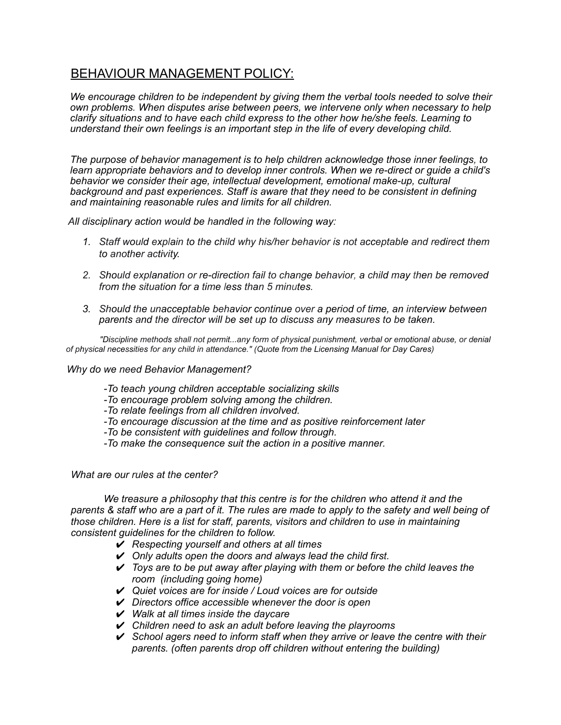## BEHAVIOUR MANAGEMENT POLICY:

*We encourage children to be independent by giving them the verbal tools needed to solve their own problems. When disputes arise between peers, we intervene only when necessary to help clarify situations and to have each child express to the other how he/she feels. Learning to understand their own feelings is an important step in the life of every developing child.*

*The purpose of behavior management is to help children acknowledge those inner feelings, to learn appropriate behaviors and to develop inner controls. When we re-direct or guide a child's behavior we consider their age, intellectual development, emotional make-up, cultural background and past experiences. Staff is aware that they need to be consistent in defining and maintaining reasonable rules and limits for all children.*

*All disciplinary action would be handled in the following way:*

- *1. Staff would explain to the child why his/her behavior is not acceptable and redirect them to another activity.*
- *2. Should explanation or re-direction fail to change behavior, a child may then be removed from the situation for a time less than 5 minutes.*
- *3. Should the unacceptable behavior continue over a period of time, an interview between parents and the director will be set up to discuss any measures to be taken.*

*"Discipline methods shall not permit...any form of physical punishment, verbal or emotional abuse, or denial of physical necessities for any child in attendance." (Quote from the Licensing Manual for Day Cares)*

*Why do we need Behavior Management?*

- *-To teach young children acceptable socializing skills*
- *-To encourage problem solving among the children.*
- *-To relate feelings from all children involved.*
- *-To encourage discussion at the time and as positive reinforcement later*
- *-To be consistent with guidelines and follow through.*
- *-To make the consequence suit the action in a positive manner.*

## *What are our rules at the center?*

*We treasure a philosophy that this centre is for the children who attend it and the* parents & staff who are a part of it. The rules are made to apply to the safety and well being of *those children. Here is a list for staff, parents, visitors and children to use in maintaining consistent guidelines for the children to follow.*

- ✔ *Respecting yourself and others at all times*
- ✔ *Only adults open the doors and always lead the child first.*
- ✔ *Toys are to be put away after playing with them or before the child leaves the room (including going home)*
- ✔ *Quiet voices are for inside / Loud voices are for outside*
- ✔ *Directors office accessible whenever the door is open*
- ✔ *Walk at all times inside the daycare*
- ✔ *Children need to ask an adult before leaving the playrooms*
- ✔ *School agers need to inform staff when they arrive or leave the centre with their parents. (often parents drop off children without entering the building)*